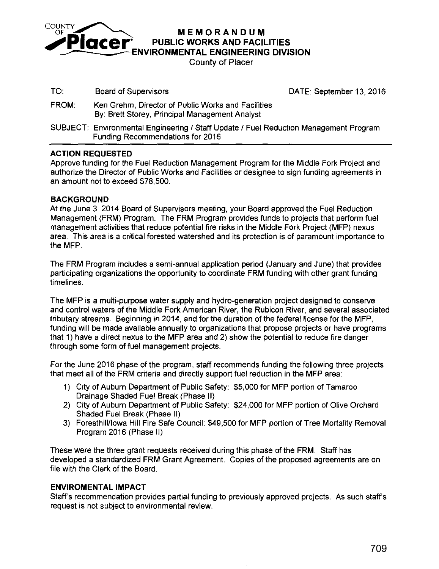

COUNTY **MEMORANDUM**<br>**Placer** PUBLIC WORKS AND FACILITIES

~NVIRONMENTAL **ENGINEERING DIVISION** 

County of Placer

TO: Board of Supervisors **DATE:** September 13, 2016

- FROM: Ken Grehm, Director of Public Works and Facilities By: Brett Storey, Principal Management Analyst
- SUBJECT: Environmental Engineering / Staff Update / Fuel Reduction Management Program Funding Recommendations for 2016

### **ACTION REQUESTED**

Approve funding for the Fuel Reduction Management Program for the Middle Fork Project and authorize the Director of Public Works and Facilities or designee to sign funding agreements in an amount not to exceed \$78,500.

### **BACKGROUND**

At the June 3, 2014 Board of Supervisors meeting, your Board approved the Fuel Reduction Management (FRM) Program. The FRM Program provides funds to projects that perform fuel management activities that reduce potential fire risks in the Middle Fork Project (MFP) nexus area. This area is a critical forested watershed and its protection is of paramount importance to the MFP.

The FRM Program includes a semi-annual application period (January and June) that provides participating organizations the opportunity to coordinate FRM funding with other grant funding timelines.

The MFP is a multi-purpose water supply and hydro-generation project designed to conserve and control waters of the Middle Fork American River, the Rubicon River, and several associated tributary streams. Beginning in 2014, and for the duration of the federal license for the MFP, funding will be made available annually to organizations that propose projects or have programs that 1) have a direct nexus to the MFP area and 2) show the potential to reduce fire danger through some form of fuel management projects.

For the June 2016 phase of the program, staff recommends funding the following three projects that meet all of the FRM criteria and directly support fuel reduction in the MFP area:

- 1) City of Auburn Department of Public Safety: \$5,000 for MFP portion of Tamaroo Drainage Shaded Fuel Break (Phase II)
- 2) City of Auburn Department of Public Safety: \$24,000 for MFP portion of Olive Orchard Shaded Fuel Break (Phase II)
- 3) Foresthill/Iowa Hill Fire Safe Council: \$49,500 for MFP portion of Tree Mortality Removal Program 2016 (Phase II)

These were the three grant requests received during this phase of the FRM. Staff has developed a standardized FRM Grant Agreement. Copies of the proposed agreements are on file with the Clerk of the Board.

### **ENVIROMENTAL IMPACT**

Staff's recommendation provides partial funding to previously approved projects. As such staffs request is not subject to environmental review.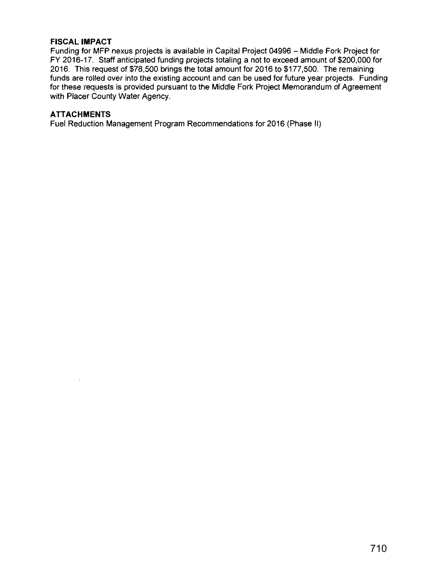#### **FISCAL IMPACT**

Funding for MFP nexus projects is available in Capital Project 04996 - Middle Fork Project for FY 2016-17. Staff anticipated funding projects totaling a not to exceed amount of \$200,000 for 2016. This request of \$78,500 brings the total amount for 2016 to \$177,500. The remaining funds are rolled over into the existing account and can be used for future year projects. Funding for these requests is provided pursuant to the Middle Fork Project Memorandum of Agreement with Placer County Water Agency.

#### **ATTACHMENTS**

Fuel Reduction Management Program Recommendations for 2016 (Phase II)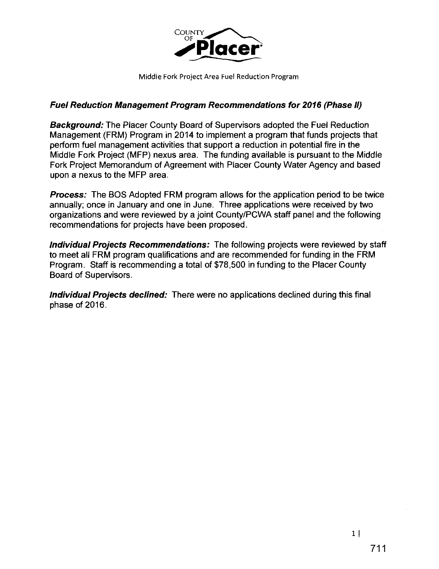

## **Fuel Reduction Management Program Recommendations for 2016 (Phase 11)**

**Background:** The Placer County Board of Supervisors adopted the Fuel Reduction Management (FRM) Program in 2014 to implement a program that funds projects that perform fuel management activities that support a reduction in potential fire in the Middle Fork Project (MFP) nexus area. The funding available is pursuant to the Middle Fork Project Memorandum of Agreement with Placer County Water Agency and based upon a nexus to the MFP area.

**Process:** The BOS Adopted FRM program allows for the application period to be twice annually; once in January and one in June. Three applications were received by two organizations and were reviewed by a joint County/PCWA staff panel and the following recommendations for projects have been proposed.

**Individual Projects Recommendations:** The following projects were reviewed by staff to meet all FRM program qualifications and are recommended for funding in the FRM Program. Staff is recommending a total of \$78,500 in funding to the Placer County Board of Supervisors.

**Individual Projects declined:** There were no applications declined during this final phase of 2016.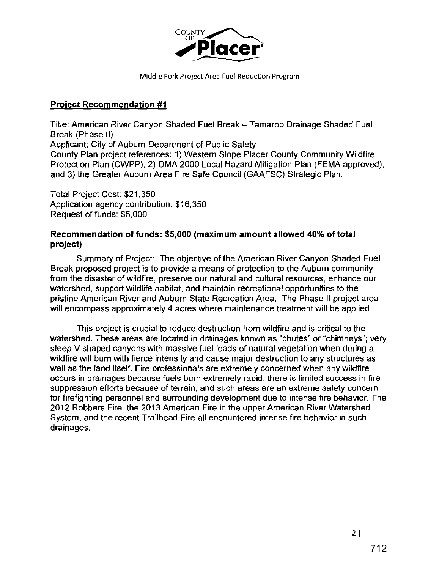

Middle Fork Project Area Fuel Reduction Program

# **Project Recommendation #1**

Title: American River Canyon Shaded Fuel Break- Tamaroa Drainage Shaded Fuel Break (Phase II) Applicant: City of Auburn Department of Public Safety County Plan project references: 1) Western Slope Placer County Community Wildfire Protection Plan (CWPP), 2) DMA 2000 Local Hazard Mitigation Plan (FEMA approved), and 3) the Greater Auburn Area Fire Safe Council (GAAFSC) Strategic Plan.

Total Project Cost: \$21,350 Application agency contribution: \$16,350 Request of funds: \$5,000

## **Recommendation of funds: \$5,000 (maximum amount allowed 40% of total project)**

Summary of Project: The objective of the American River Canyon Shaded Fuel Break proposed project is to provide a means of protection to the Auburn community from the disaster of wildfire, preserve our natural and cultural resources, enhance our watershed, support wildlife habitat, and maintain recreational opportunities to the pristine American River and Auburn State Recreation Area. The Phase II project area will encompass approximately 4 acres where maintenance treatment will be applied.

This project is crucial to reduce destruction from wildfire and is critical to the watershed. These areas are located in drainages known as "chutes" or "chimneys"; very steep V shaped canyons with massive fuel loads of natural vegetation when during a wildfire will burn with fierce intensity and cause major destruction to any structures as well as the land itself. Fire professionals are extremely concerned when any wildfire occurs in drainages because fuels burn extremely rapid, there is limited success in fire suppression efforts because of terrain, and such areas are an extreme safety concern for firefighting personnel and surrounding development due to intense fire behavior. The 2012 Robbers Fire, the 2013 American Fire in the upper American River Watershed System, and the recent Trailhead Fire all encountered intense fire behavior in such drainages.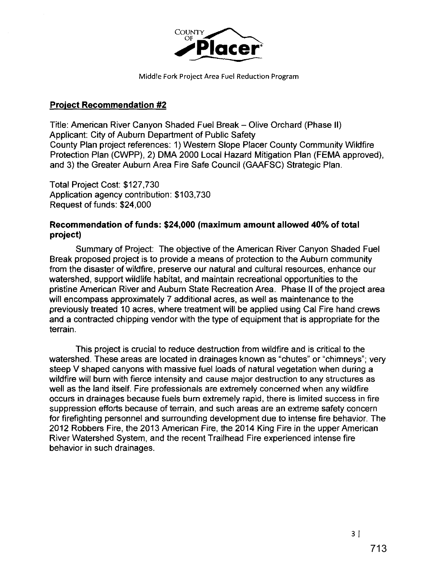

# **Project Recommendation #2**

Title: American River Canyon Shaded Fuel Break- Olive Orchard (Phase II) Applicant: City of Auburn Department of Public Safety County Plan project references: 1) Western Slope Placer County Community Wildfire Protection Plan (CWPP), 2) DMA 2000 Local Hazard Mitigation Plan (FEMA approved), and 3) the Greater Auburn Area Fire Safe Council (GAAFSC) Strategic Plan.

Total Project Cost: \$127,730 Application agency contribution: \$103,730 Request of funds: \$24,000

# **Recommendation of funds: \$24,000 (maximum amount allowed 40% of total project)**

Summary of Project: The objective of the American River Canyon Shaded Fuel Break proposed project is to provide a means of protection to the Auburn community from the disaster of wildfire, preserve our natural and cultural resources, enhance our watershed, support wildlife habitat, and maintain recreational opportunities to the pristine American River and Auburn State Recreation Area. Phase II of the project area will encompass approximately 7 additional acres, as well as maintenance to the previously treated 10 acres, where treatment will be applied using Cal Fire hand crews and a contracted chipping vendor with the type of equipment that is appropriate for the terrain.

This project is crucial to reduce destruction from wildfire and is critical to the watershed. These areas are located in drainages known as "chutes" or "chimneys"; very steep V shaped canyons with massive fuel loads of natural vegetation when during a wildfire will burn with fierce intensity and cause major destruction to any structures as well as the land itself. Fire professionals are extremely concerned when any wildfire occurs in drainages because fuels burn extremely rapid, there is limited success in fire suppression efforts because of terrain, and such areas are an extreme safety concern for firefighting personnel and surrounding development due to intense fire behavior. The 2012 Robbers Fire, the 2013 American Fire, the 2014 King Fire in the upper American River Watershed System, and the recent Trailhead Fire experienced intense fire behavior in such drainages.